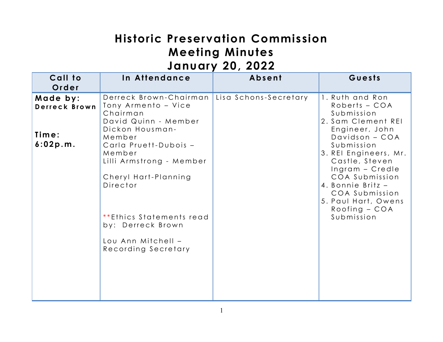# **Historic Preservation Commission Meeting Minutes January 20, 2022**

| Call to<br>Order                               | In Attendance                                                                                                                                     | Absent                | Guests                                                                                                                                             |
|------------------------------------------------|---------------------------------------------------------------------------------------------------------------------------------------------------|-----------------------|----------------------------------------------------------------------------------------------------------------------------------------------------|
| Made by:<br>Derreck Brown<br>Time:<br>6:02p.m. | Derreck Brown-Chairman<br>Tony Armento - Vice<br>Chairman<br>David Quinn - Member<br>Dickon Housman-<br>Member<br>Carla Pruett-Dubois -<br>Member | Lisa Schons-Secretary | 1. Ruth and Ron<br>Roberts - COA<br>Submission<br>2. Sam Clement REI<br>Engineer, John<br>Davidson - COA<br>Submission<br>3. REI Engineers, Mr.    |
|                                                | Lilli Armstrong - Member<br>Cheryl Hart-Planning<br>Director<br>**Ethics Statements read<br>by: Derreck Brown                                     |                       | Castle, Steven<br>Ingram - Credle<br>COA Submission<br>4. Bonnie Britz -<br>COA Submission<br>5. Paul Hart, Owens<br>$Rooting - COA$<br>Submission |
|                                                | Lou Ann Mitchell -<br>Recording Secretary                                                                                                         |                       |                                                                                                                                                    |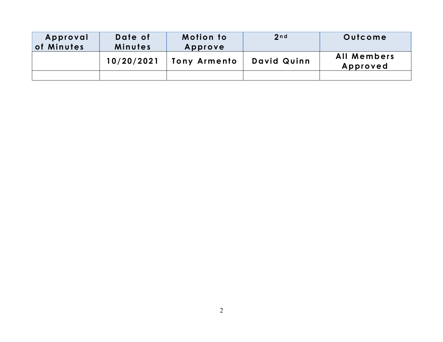| Approval<br>of Minutes | Date of<br>Minutes | <b>Motion to</b><br>Approve | 2 <sub>n d</sub> | Outcome                        |
|------------------------|--------------------|-----------------------------|------------------|--------------------------------|
|                        | 10/20/2021         | <b>Tony Armento</b>         | David Quinn      | <b>All Members</b><br>Approved |
|                        |                    |                             |                  |                                |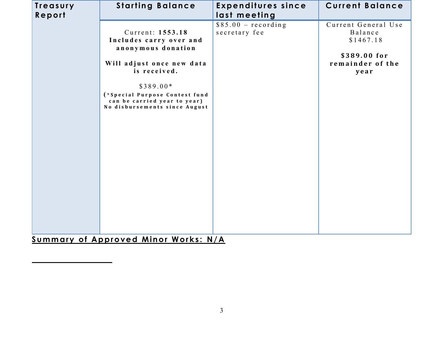| Treasury | <b>Starting Balance</b>                                                                                                                                                                                                         | <b>Expenditures since</b>             | <b>Current Balance</b>                                                                  |
|----------|---------------------------------------------------------------------------------------------------------------------------------------------------------------------------------------------------------------------------------|---------------------------------------|-----------------------------------------------------------------------------------------|
| Report   |                                                                                                                                                                                                                                 | last meeting                          |                                                                                         |
|          | Current: 1553.18<br>Includes carry over and<br>anonymous donation<br>Will adjust once new data<br>is received.<br>$$389.00*$<br>(*Special Purpose Contest fund<br>can be carried year to year)<br>No disbursements since August | $$85.00 - recording$<br>secretary fee | Current General Use<br>Balance<br>\$1467.18<br>\$389.00 for<br>remainder of the<br>year |
|          |                                                                                                                                                                                                                                 |                                       |                                                                                         |

**Summary of Approved Minor Works: N/A**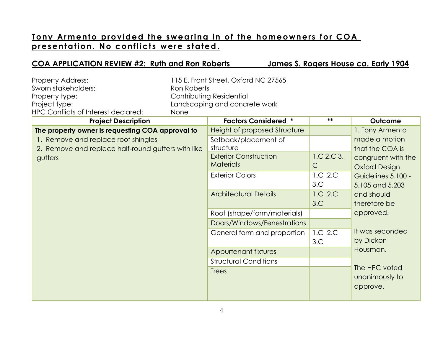# **Tony Armento provided the swearing in of the homeowners for COA p r e s e n t at io n . No c o nf lic t s w er e s t a te d.**

### **COA APPLICATION REVIEW #2: Ruth and Ron Roberts James S. Rogers House ca. Early 1904**

| <b>Property Address:</b><br>Sworn stakeholders:<br>Property type:<br>Project type:<br>HPC Conflicts of Interest declared:                                | Ron Roberts<br>None | 115 E. Front Street, Oxford NC 27565<br>Contributing Residential<br>Landscaping and concrete work                                                                                                                                                                                                                                                           |                                                                                  |                                                                                                                                                                                                                                                                      |
|----------------------------------------------------------------------------------------------------------------------------------------------------------|---------------------|-------------------------------------------------------------------------------------------------------------------------------------------------------------------------------------------------------------------------------------------------------------------------------------------------------------------------------------------------------------|----------------------------------------------------------------------------------|----------------------------------------------------------------------------------------------------------------------------------------------------------------------------------------------------------------------------------------------------------------------|
| <b>Project Description</b>                                                                                                                               |                     | <b>Factors Considered *</b>                                                                                                                                                                                                                                                                                                                                 | **                                                                               | Outcome                                                                                                                                                                                                                                                              |
| The property owner is requesting COA approval to<br>1. Remove and replace roof shingles<br>2. Remove and replace half-round gutters with like<br>gutters |                     | <b>Height of proposed Structure</b><br>Setback/placement of<br>structure<br><b>Exterior Construction</b><br><b>Materials</b><br><b>Exterior Colors</b><br><b>Architectural Details</b><br>Roof (shape/form/materials)<br>Doors/Windows/Fenestrations<br>General form and proportion<br>Appurtenant fixtures<br><b>Structural Conditions</b><br><b>Trees</b> | 1.C 2.C 3.<br>$\mathsf{C}$<br>1.C 2.C<br>3.C<br>1.C 2.C<br>3.C<br>1.C 2.C<br>3.C | 1. Tony Armento<br>made a motion<br>that the COA is<br>congruent with the<br><b>Oxford Design</b><br>Guidelines 5.100 -<br>5.105 and 5.203<br>and should<br>therefore be<br>approved.<br>It was seconded<br>by Dickon<br>Housman.<br>The HPC voted<br>unanimously to |
|                                                                                                                                                          |                     |                                                                                                                                                                                                                                                                                                                                                             |                                                                                  | approve.                                                                                                                                                                                                                                                             |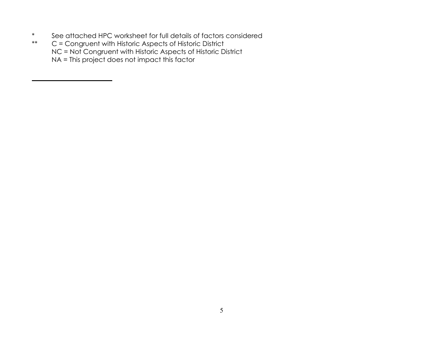- \* See attached HPC worksheet for full details of factors considered<br>\*\*  $C =$  Congruent with Historic Aspects of Historic District
- C = Congruent with Historic Aspects of Historic District NC = Not Congruent with Historic Aspects of Historic District NA = This project does not impact this factor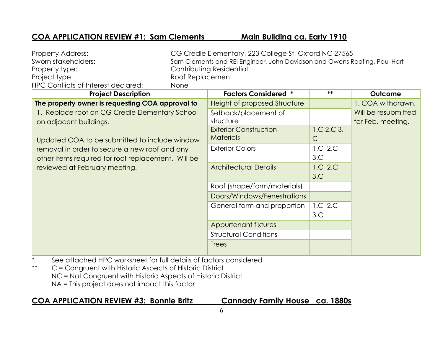## **COA APPLICATION REVIEW #1: Sam Clements Main Building ca. Early 1910**

| <b>Property Address:</b>                                                   |                  | CG Credle Elementary, 223 College St, Oxford NC 27565                     |              |                     |
|----------------------------------------------------------------------------|------------------|---------------------------------------------------------------------------|--------------|---------------------|
| Sworn stakeholders:                                                        |                  | Sam Clements and REI Engineer, John Davidson and Owens Roofing, Paul Hart |              |                     |
| Property type:                                                             |                  | Contributing Residential                                                  |              |                     |
| Project type:                                                              | Roof Replacement |                                                                           |              |                     |
| <b>HPC Conflicts of Interest declared:</b>                                 | None             |                                                                           |              |                     |
| <b>Project Description</b>                                                 |                  | <b>Factors Considered *</b>                                               | **           | Outcome             |
| The property owner is requesting COA approval to                           |                  | Height of proposed Structure                                              |              | 1. COA withdrawn.   |
| 1. Replace roof on CG Credle Elementary School                             |                  | Setback/placement of                                                      |              | Will be resubmitted |
| on adjacent buildings.                                                     |                  | structure                                                                 |              | for Feb. meeting.   |
|                                                                            |                  | <b>Exterior Construction</b>                                              | 1.C 2.C 3.   |                     |
| Updated COA to be submitted to include window                              |                  | <b>Materials</b>                                                          | $\mathsf{C}$ |                     |
| removal in order to secure a new roof and any                              |                  | <b>Exterior Colors</b>                                                    | 1.C 2.C      |                     |
| other items required for roof replacement. Will be                         |                  |                                                                           | 3.C          |                     |
| reviewed at February meeting.                                              |                  | <b>Architectural Details</b>                                              | 1.C 2.C      |                     |
|                                                                            |                  |                                                                           | 3.C          |                     |
|                                                                            |                  | Roof (shape/form/materials)                                               |              |                     |
|                                                                            |                  | Doors/Windows/Fenestrations                                               |              |                     |
|                                                                            |                  | General form and proportion                                               | 1.C 2.C      |                     |
|                                                                            |                  |                                                                           | 3.C          |                     |
|                                                                            |                  | Appurtenant fixtures                                                      |              |                     |
|                                                                            |                  | <b>Structural Conditions</b>                                              |              |                     |
|                                                                            |                  | <b>Trees</b>                                                              |              |                     |
| Coo situado de UDC unidade de fairle da distrito de factores ocupidades de |                  |                                                                           |              |                     |

- \* See attached HPC worksheet for full details of factors considered
- \*\* C = Congruent with Historic Aspects of Historic District NC = Not Congruent with Historic Aspects of Historic District NA = This project does not impact this factor

### **COA APPLICATION REVIEW #3: Bonnie Britz Cannady Family House ca. 1880s**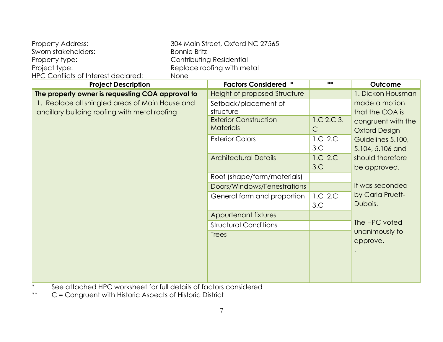| <b>Property Address:</b>            | 304 Main Street, Oxford NC 27565 |  |
|-------------------------------------|----------------------------------|--|
| Sworn stakeholders:                 | Bonnie Britz                     |  |
| Property type:                      | Contributing Residential         |  |
| Project type:                       | Replace roofing with metal       |  |
| HPC Conflicts of Interest declared: | <b>None</b>                      |  |
|                                     |                                  |  |

| <b>Project Description</b>                       | <b>Factors Considered *</b>  | **           | Outcome              |
|--------------------------------------------------|------------------------------|--------------|----------------------|
| The property owner is requesting COA approval to | Height of proposed Structure |              | 1. Dickon Housman    |
| 1. Replace all shingled areas of Main House and  | Setback/placement of         |              | made a motion        |
| ancillary building roofing with metal roofing    | structure                    |              | that the COA is      |
|                                                  | <b>Exterior Construction</b> | 1.C.2.C.3.   | congruent with the   |
|                                                  | <b>Materials</b>             | $\mathsf{C}$ | <b>Oxford Design</b> |
|                                                  | <b>Exterior Colors</b>       | 1.C 2.C      | Guidelines 5.100,    |
|                                                  |                              | 3.C          | 5.104, 5.106 and     |
|                                                  | <b>Architectural Details</b> | 1.C 2.C      | should therefore     |
|                                                  |                              | 3.C          | be approved.         |
|                                                  | Roof (shape/form/materials)  |              |                      |
|                                                  | Doors/Windows/Fenestrations  |              | It was seconded      |
|                                                  | General form and proportion  | 1.C 2.C      | by Carla Pruett-     |
|                                                  |                              | 3.C          | Dubois.              |
|                                                  | Appurtenant fixtures         |              |                      |
|                                                  | <b>Structural Conditions</b> |              | The HPC voted        |
|                                                  | <b>Trees</b>                 |              | unanimously to       |
|                                                  |                              |              | approve.             |
|                                                  |                              |              |                      |
|                                                  |                              |              |                      |
|                                                  |                              |              |                      |
|                                                  |                              |              |                      |

\* See attached HPC worksheet for full details of factors considered<br>\*\*  $C =$  Congruent with Historic Aspects of Historic District

C = Congruent with Historic Aspects of Historic District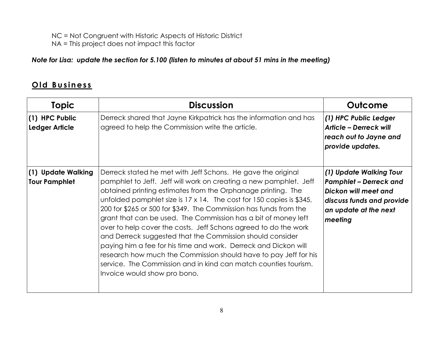NC = Not Congruent with Historic Aspects of Historic District

NA = This project does not impact this factor

### *Note for Lisa: update the section for 5.100 (listen to minutes at about 51 mins in the meeting)*

# **O ld B u s in es s**

| <b>Topic</b>                               | <b>Discussion</b>                                                                                                                                                                                                                                                                                                                                                                                                                                                                                                                                                                                                                                                                                                                                                                          | Outcome                                                                                                                                           |
|--------------------------------------------|--------------------------------------------------------------------------------------------------------------------------------------------------------------------------------------------------------------------------------------------------------------------------------------------------------------------------------------------------------------------------------------------------------------------------------------------------------------------------------------------------------------------------------------------------------------------------------------------------------------------------------------------------------------------------------------------------------------------------------------------------------------------------------------------|---------------------------------------------------------------------------------------------------------------------------------------------------|
| (1) HPC Public<br>Ledger Article           | Derreck shared that Jayne Kirkpatrick has the information and has<br>agreed to help the Commission write the article.                                                                                                                                                                                                                                                                                                                                                                                                                                                                                                                                                                                                                                                                      | (1) HPC Public Ledger<br><b>Article - Derreck will</b><br>reach out to Jayne and<br>provide updates.                                              |
| (1) Update Walking<br><b>Tour Pamphlet</b> | Derreck stated he met with Jeff Schons. He gave the original<br>pamphlet to Jeff. Jeff will work on creating a new pamphlet. Jeff<br>obtained printing estimates from the Orphanage printing. The<br>unfolded pamphlet size is 17 x 14. The cost for 150 copies is \$345,<br>200 for \$265 or 500 for \$349. The Commission has funds from the<br>grant that can be used. The Commission has a bit of money left<br>over to help cover the costs. Jeff Schons agreed to do the work<br>and Derreck suggested that the Commission should consider<br>paying him a fee for his time and work. Derreck and Dickon will<br>research how much the Commission should have to pay Jeff for his<br>service. The Commission and in kind can match counties tourism.<br>Invoice would show pro bono. | (1) Update Walking Tour<br><b>Pamphlet - Derreck and</b><br>Dickon will meet and<br>discuss funds and provide<br>an update at the next<br>meeting |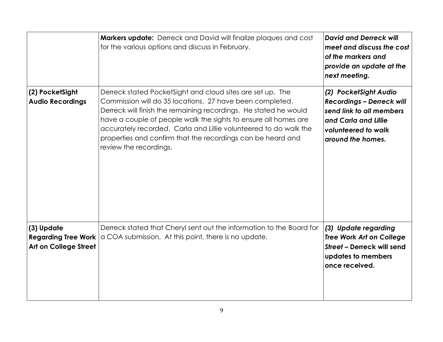|                                                                          | Markers update: Derreck and David will finalize plaques and cost<br>for the various options and discuss in February.                                                                                                                                                                                                                                                                                                       | <b>David and Derreck will</b><br>meet and discuss the cost<br>of the markers and<br>provide an update at the<br>next meeting.                             |
|--------------------------------------------------------------------------|----------------------------------------------------------------------------------------------------------------------------------------------------------------------------------------------------------------------------------------------------------------------------------------------------------------------------------------------------------------------------------------------------------------------------|-----------------------------------------------------------------------------------------------------------------------------------------------------------|
| (2) PocketSight<br><b>Audio Recordings</b>                               | Derreck stated PocketSight and cloud sites are set up. The<br>Commission will do 35 locations. 27 have been completed.<br>Derreck will finish the remaining recordings. He stated he would<br>have a couple of people walk the sights to ensure all homes are<br>accurately recorded. Carla and Lillie volunteered to do walk the<br>properties and confirm that the recordings can be heard and<br>review the recordings. | (2) PocketSight Audio<br><b>Recordings - Derreck will</b><br>send link to all members<br>and Carla and Lillie<br>volunteered to walk<br>around the homes. |
| (3) Update<br><b>Regarding Tree Work</b><br><b>Art on College Street</b> | Derreck stated that Cheryl sent out the information to the Board for<br>a COA submission. At this point, there is no update.                                                                                                                                                                                                                                                                                               | (3) Update regarding<br><b>Tree Work Art on College</b><br>Street - Derreck will send<br>updates to members<br>once received.                             |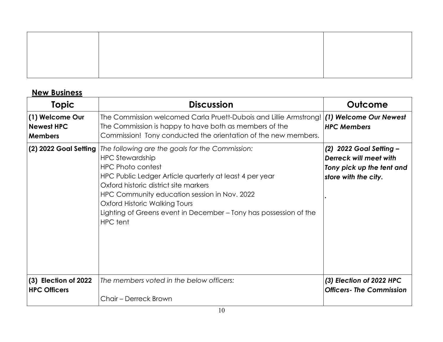# **New Business**

| Topic                                                  | <b>Discussion</b>                                                                                                                                                                                                                                                                                                                                                                  | Outcome                                                                                                |
|--------------------------------------------------------|------------------------------------------------------------------------------------------------------------------------------------------------------------------------------------------------------------------------------------------------------------------------------------------------------------------------------------------------------------------------------------|--------------------------------------------------------------------------------------------------------|
| (1) Welcome Our<br><b>Newest HPC</b><br><b>Members</b> | The Commission welcomed Carla Pruett-Dubois and Lillie Armstrong!<br>The Commission is happy to have both as members of the<br>Commission! Tony conducted the orientation of the new members.                                                                                                                                                                                      | (1) Welcome Our Newest<br><b>HPC Members</b>                                                           |
| (2) 2022 Goal Setting                                  | The following are the goals for the Commission:<br><b>HPC Stewardship</b><br><b>HPC Photo contest</b><br>HPC Public Ledger Article quarterly at least 4 per year<br>Oxford historic district site markers<br>HPC Community education session in Nov. 2022<br>Oxford Historic Walking Tours<br>Lighting of Greens event in December – Tony has possession of the<br><b>HPC</b> tent | (2) 2022 Goal Setting -<br>Derreck will meet with<br>Tony pick up the tent and<br>store with the city. |
| (3) Election of 2022<br><b>HPC Officers</b>            | The members voted in the below officers:<br>Chair - Derreck Brown                                                                                                                                                                                                                                                                                                                  | (3) Election of 2022 HPC<br><b>Officers-The Commission</b>                                             |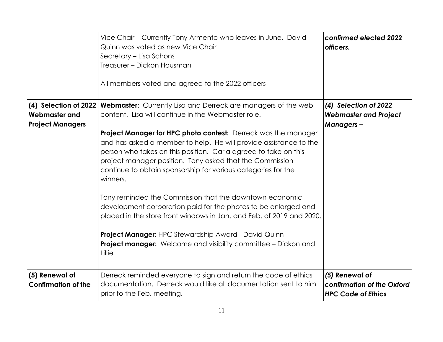|                                                                          | Vice Chair - Currently Tony Armento who leaves in June. David<br>Quinn was voted as new Vice Chair<br>Secretary - Lisa Schons<br>Treasurer - Dickon Housman<br>All members voted and agreed to the 2022 officers                                                                                                                                       | confirmed elected 2022<br>officers.                                       |
|--------------------------------------------------------------------------|--------------------------------------------------------------------------------------------------------------------------------------------------------------------------------------------------------------------------------------------------------------------------------------------------------------------------------------------------------|---------------------------------------------------------------------------|
| (4) Selection of 2022<br><b>Webmaster and</b><br><b>Project Managers</b> | <b>Webmaster:</b> Currently Lisa and Derreck are managers of the web<br>content. Lisa will continue in the Webmaster role.                                                                                                                                                                                                                             | (4) Selection of 2022<br><b>Webmaster and Project</b><br><b>Managers-</b> |
|                                                                          | <b>Project Manager for HPC photo contest:</b> Derreck was the manager<br>and has asked a member to help. He will provide assistance to the<br>person who takes on this position. Carla agreed to take on this<br>project manager position. Tony asked that the Commission<br>continue to obtain sponsorship for various categories for the<br>winners. |                                                                           |
|                                                                          | Tony reminded the Commission that the downtown economic<br>development corporation paid for the photos to be enlarged and<br>placed in the store front windows in Jan. and Feb. of 2019 and 2020.                                                                                                                                                      |                                                                           |
|                                                                          | <b>Project Manager:</b> HPC Stewardship Award - David Quinn<br><b>Project manager:</b> Welcome and visibility committee - Dickon and<br>Lillie                                                                                                                                                                                                         |                                                                           |
| (5) Renewal of<br><b>Confirmation of the</b>                             | Derreck reminded everyone to sign and return the code of ethics<br>documentation. Derreck would like all documentation sent to him<br>prior to the Feb. meeting.                                                                                                                                                                                       | (5) Renewal of<br>confirmation of the Oxford<br><b>HPC Code of Ethics</b> |